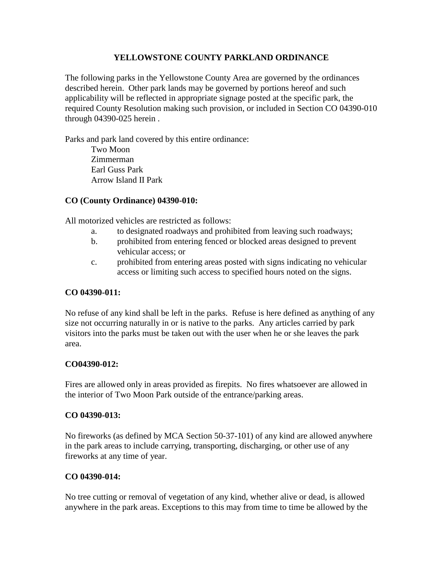#### **YELLOWSTONE COUNTY PARKLAND ORDINANCE**

The following parks in the Yellowstone County Area are governed by the ordinances described herein. Other park lands may be governed by portions hereof and such applicability will be reflected in appropriate signage posted at the specific park, the required County Resolution making such provision, or included in Section CO 04390-010 through 04390-025 herein .

Parks and park land covered by this entire ordinance:

Two Moon Zimmerman Earl Guss Park Arrow Island II Park

### **CO (County Ordinance) 04390-010:**

All motorized vehicles are restricted as follows:

- a. to designated roadways and prohibited from leaving such roadways;
- b. prohibited from entering fenced or blocked areas designed to prevent vehicular access; or
- c. prohibited from entering areas posted with signs indicating no vehicular access or limiting such access to specified hours noted on the signs.

#### **CO 04390-011:**

No refuse of any kind shall be left in the parks. Refuse is here defined as anything of any size not occurring naturally in or is native to the parks. Any articles carried by park visitors into the parks must be taken out with the user when he or she leaves the park area.

#### **CO04390-012:**

Fires are allowed only in areas provided as firepits. No fires whatsoever are allowed in the interior of Two Moon Park outside of the entrance/parking areas.

#### **CO 04390-013:**

No fireworks (as defined by MCA Section 50-37-101) of any kind are allowed anywhere in the park areas to include carrying, transporting, discharging, or other use of any fireworks at any time of year.

### **CO 04390-014:**

No tree cutting or removal of vegetation of any kind, whether alive or dead, is allowed anywhere in the park areas. Exceptions to this may from time to time be allowed by the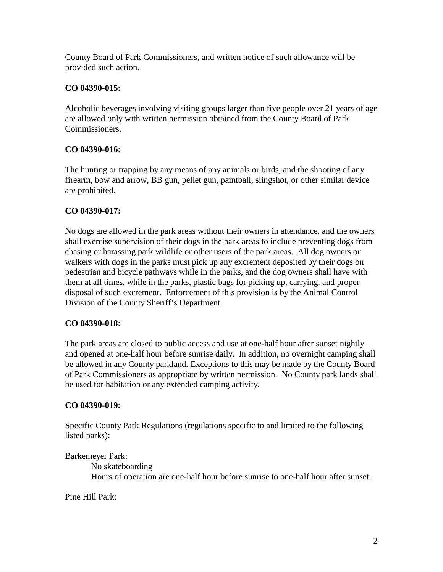County Board of Park Commissioners, and written notice of such allowance will be provided such action.

### **CO 04390-015:**

Alcoholic beverages involving visiting groups larger than five people over 21 years of age are allowed only with [written permission](http://www.co.yellowstone.mt.gov/Parks/default.asp) obtained from the County Board of Park Commissioners.

### **CO 04390-016:**

The hunting or trapping by any means of any animals or birds, and the shooting of any firearm, bow and arrow, BB gun, pellet gun, paintball, slingshot, or other similar device are prohibited.

## **CO 04390-017:**

No dogs are allowed in the park areas without their owners in attendance, and the owners shall exercise supervision of their dogs in the park areas to include preventing dogs from chasing or harassing park wildlife or other users of the park areas. All dog owners or walkers with dogs in the parks must pick up any excrement deposited by their dogs on pedestrian and bicycle pathways while in the parks, and the dog owners shall have with them at all times, while in the parks, plastic bags for picking up, carrying, and proper disposal of such excrement. Enforcement of this provision is by the Animal Control Division of the County Sheriff's Department.

### **CO 04390-018:**

The park areas are closed to public access and use at one-half hour after sunset nightly and opened at one-half hour before sunrise daily. In addition, no overnight camping shall be allowed in any County parkland*.* Exceptions to this may be made by the County Board of Park Commissioners as appropriate by written permission. No County park lands shall be used for habitation or any extended camping activity.

### **CO 04390-019:**

Specific County Park Regulations (regulations specific to and limited to the following listed parks):

Barkemeyer Park:

No skateboarding Hours of operation are one-half hour before sunrise to one-half hour after sunset.

Pine Hill Park: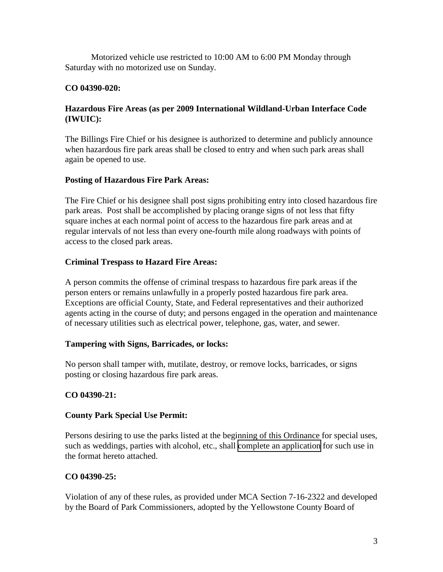Motorized vehicle use restricted to 10:00 AM to 6:00 PM Monday through Saturday with no motorized use on Sunday.

## **CO 04390-020:**

## **Hazardous Fire Areas (as per 2009 International Wildland-Urban Interface Code (IWUIC):**

The Billings Fire Chief or his designee is authorized to determine and publicly announce when hazardous fire park areas shall be closed to entry and when such park areas shall again be opened to use.

## **Posting of Hazardous Fire Park Areas:**

The Fire Chief or his designee shall post signs prohibiting entry into closed hazardous fire park areas. Post shall be accomplished by placing orange signs of not less that fifty square inches at each normal point of access to the hazardous fire park areas and at regular intervals of not less than every one-fourth mile along roadways with points of access to the closed park areas.

## **Criminal Trespass to Hazard Fire Areas:**

A person commits the offense of criminal trespass to hazardous fire park areas if the person enters or remains unlawfully in a properly posted hazardous fire park area. Exceptions are official County, State, and Federal representatives and their authorized agents acting in the course of duty; and persons engaged in the operation and maintenance of necessary utilities such as electrical power, telephone, gas, water, and sewer.

### **Tampering with Signs, Barricades, or locks:**

No person shall tamper with, mutilate, destroy, or remove locks, barricades, or signs posting or closing hazardous fire park areas.

### **CO 04390-21:**

### **County Park Special Use Permit:**

Persons desiring to use the parks listed at the beginning of this Ordinance for special uses, such as weddings, parties with alcohol, etc., shall [complete an application](http://www.co.yellowstone.mt.gov/Parks/default.asp) for such use in the format hereto attached.

# **CO 04390-25:**

Violation of any of these rules, as provided under MCA Section 7-16-2322 and developed by the Board of Park Commissioners, adopted by the Yellowstone County Board of